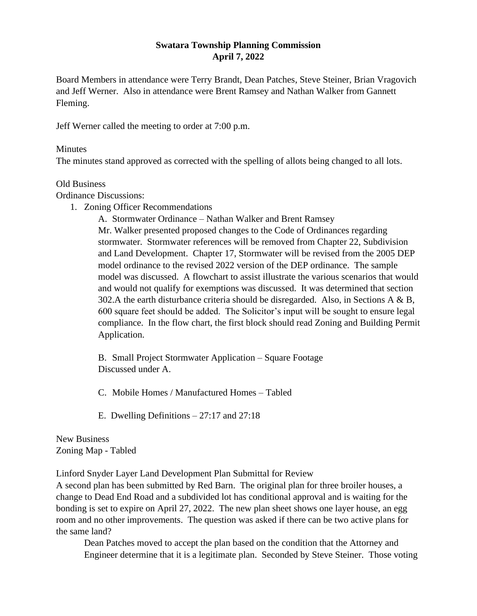## **Swatara Township Planning Commission April 7, 2022**

Board Members in attendance were Terry Brandt, Dean Patches, Steve Steiner, Brian Vragovich and Jeff Werner. Also in attendance were Brent Ramsey and Nathan Walker from Gannett Fleming.

Jeff Werner called the meeting to order at 7:00 p.m.

## Minutes

The minutes stand approved as corrected with the spelling of allots being changed to all lots.

## Old Business

Ordinance Discussions:

1. Zoning Officer Recommendations

A. Stormwater Ordinance – Nathan Walker and Brent Ramsey Mr. Walker presented proposed changes to the Code of Ordinances regarding stormwater. Stormwater references will be removed from Chapter 22, Subdivision and Land Development. Chapter 17, Stormwater will be revised from the 2005 DEP model ordinance to the revised 2022 version of the DEP ordinance. The sample model was discussed. A flowchart to assist illustrate the various scenarios that would and would not qualify for exemptions was discussed. It was determined that section 302.A the earth disturbance criteria should be disregarded. Also, in Sections A  $\&$  B, 600 square feet should be added. The Solicitor's input will be sought to ensure legal compliance. In the flow chart, the first block should read Zoning and Building Permit Application.

B. Small Project Stormwater Application – Square Footage Discussed under A.

C. Mobile Homes / Manufactured Homes – Tabled

E. Dwelling Definitions – 27:17 and 27:18

New Business Zoning Map - Tabled

Linford Snyder Layer Land Development Plan Submittal for Review

A second plan has been submitted by Red Barn. The original plan for three broiler houses, a change to Dead End Road and a subdivided lot has conditional approval and is waiting for the bonding is set to expire on April 27, 2022. The new plan sheet shows one layer house, an egg room and no other improvements. The question was asked if there can be two active plans for the same land?

Dean Patches moved to accept the plan based on the condition that the Attorney and Engineer determine that it is a legitimate plan. Seconded by Steve Steiner. Those voting